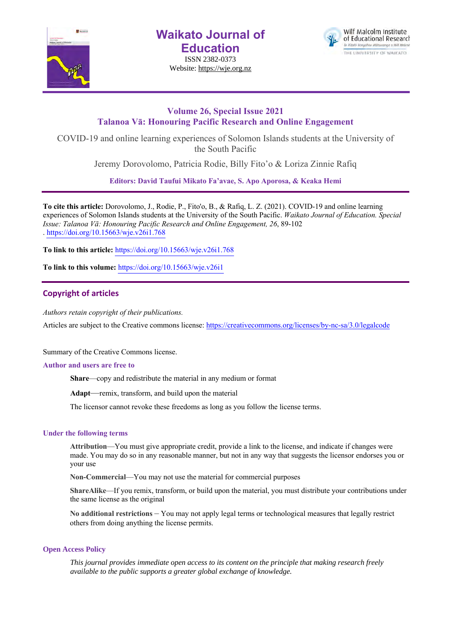

**Waikato Journal of Education**

ISSN 2382-0373 Website: https://wje.org.nz



# **Volume 26, Special Issue 2021 Talanoa Vā: Honouring Pacific Research and Online Engagement**

COVID-19 and online learning experiences of Solomon Islands students at the University of the South Pacific

Jeremy Dorovolomo, Patricia Rodie, Billy Fito'o & Loriza Zinnie Rafiq

**Editors: David Taufui Mikato Fa'avae, S. Apo Aporosa, & Keaka Hemi**

**To cite this article:** Dorovolomo, J., Rodie, P., Fito'o, B., & Rafiq, L. Z. (2021). COVID-19 and online learning experiences of Solomon Islands students at the University of the South Pacific. *Waikato Journal of Education. Special Issue: Talanoa Vā: Honouring Pacific Research and Online Engagement, 26*, 89-102 . https://doi.org/10.15663/wje.v26i1.768

**To link to this article:** https://doi.org/10.15663/wje.v26i1.768

**To link to this volume:** https://doi.org/10.15663/wje.v26i1

# **Copyright of articles**

*Authors retain copyright of their publications.*

Articles are subject to the Creative commons license: https://creativecommons.org/licenses/by-nc-sa/3.0/legalcode

Summary of the Creative Commons license.

### **Author and users are free to**

**Share**—copy and redistribute the material in any medium or format

**Adapt**—remix, transform, and build upon the material

The licensor cannot revoke these freedoms as long as you follow the license terms.

# **Under the following terms**

**Attribution**—You must give appropriate credit, provide a link to the license, and indicate if changes were made. You may do so in any reasonable manner, but not in any way that suggests the licensor endorses you or your use

**Non-Commercial**—You may not use the material for commercial purposes

**ShareAlike**—If you remix, transform, or build upon the material, you must distribute your contributions under the same license as the original

**No additional restrictions** – You may not apply legal terms or technological measures that legally restrict others from doing anything the license permits.

### **Open Access Policy**

*This journal provides immediate open access to its content on the principle that making research freely available to the public supports a greater global exchange of knowledge.*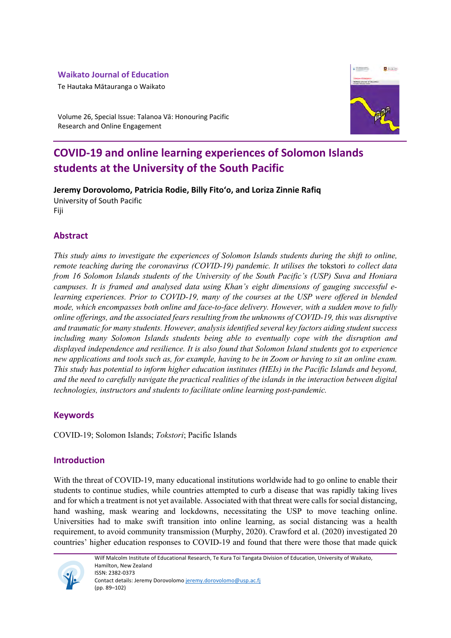# **Waikato Journal of Education**

Te Hautaka Mātauranga o Waikato



Volume 26, Special Issue: Talanoa Vā: Honouring Pacific Research and Online Engagement

# **COVID-19 and online learning experiences of Solomon Islands students at the University of the South Pacific**

**Jeremy Dorovolomo, Patricia Rodie, Billy Fito'o, and Loriza Zinnie Rafiq**  University of South Pacific Fiji

# **Abstract**

*This study aims to investigate the experiences of Solomon Islands students during the shift to online, remote teaching during the coronavirus (COVID-19) pandemic. It utilises the* tokstori *to collect data from 16 Solomon Islands students of the University of the South Pacific's (USP) Suva and Honiara campuses. It is framed and analysed data using Khan's eight dimensions of gauging successful elearning experiences. Prior to COVID-19, many of the courses at the USP were offered in blended mode, which encompasses both online and face-to-face delivery. However, with a sudden move to fully online offerings, and the associated fears resulting from the unknowns of COVID-19, this was disruptive and traumatic for many students. However, analysis identified several key factors aiding student success including many Solomon Islands students being able to eventually cope with the disruption and displayed independence and resilience. It is also found that Solomon Island students got to experience new applications and tools such as, for example, having to be in Zoom or having to sit an online exam. This study has potential to inform higher education institutes (HEIs) in the Pacific Islands and beyond, and the need to carefully navigate the practical realities of the islands in the interaction between digital technologies, instructors and students to facilitate online learning post-pandemic.* 

# **Keywords**

COVID-19; Solomon Islands; *Tokstori*; Pacific Islands

# **Introduction**

With the threat of COVID-19, many educational institutions worldwide had to go online to enable their students to continue studies, while countries attempted to curb a disease that was rapidly taking lives and for which a treatment is not yet available. Associated with that threat were calls for social distancing, hand washing, mask wearing and lockdowns, necessitating the USP to move teaching online. Universities had to make swift transition into online learning, as social distancing was a health requirement, to avoid community transmission (Murphy, 2020). Crawford et al. (2020) investigated 20 countries' higher education responses to COVID-19 and found that there were those that made quick

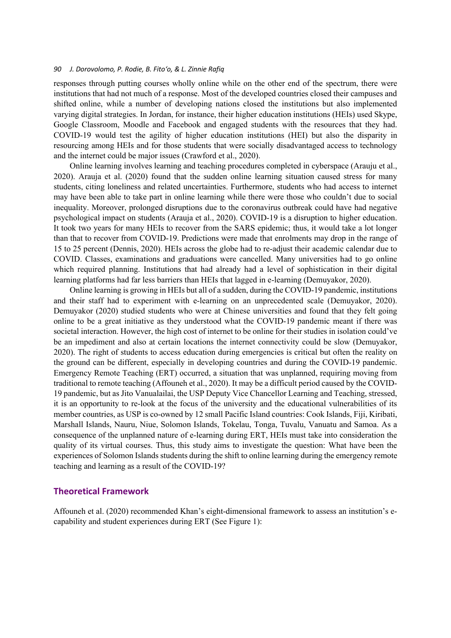responses through putting courses wholly online while on the other end of the spectrum, there were institutions that had not much of a response. Most of the developed countries closed their campuses and shifted online, while a number of developing nations closed the institutions but also implemented varying digital strategies. In Jordan, for instance, their higher education institutions (HEIs) used Skype, Google Classroom, Moodle and Facebook and engaged students with the resources that they had. COVID-19 would test the agility of higher education institutions (HEI) but also the disparity in resourcing among HEIs and for those students that were socially disadvantaged access to technology and the internet could be major issues (Crawford et al., 2020).

Online learning involves learning and teaching procedures completed in cyberspace (Arauju et al., 2020). Arauja et al. (2020) found that the sudden online learning situation caused stress for many students, citing loneliness and related uncertainties. Furthermore, students who had access to internet may have been able to take part in online learning while there were those who couldn't due to social inequality. Moreover, prolonged disruptions due to the coronavirus outbreak could have had negative psychological impact on students (Arauja et al., 2020). COVID-19 is a disruption to higher education. It took two years for many HEIs to recover from the SARS epidemic; thus, it would take a lot longer than that to recover from COVID-19. Predictions were made that enrolments may drop in the range of 15 to 25 percent (Dennis, 2020). HEIs across the globe had to re-adjust their academic calendar due to COVID. Classes, examinations and graduations were cancelled. Many universities had to go online which required planning. Institutions that had already had a level of sophistication in their digital learning platforms had far less barriers than HEIs that lagged in e-learning (Demuyakor, 2020).

Online learning is growing in HEIs but all of a sudden, during the COVID-19 pandemic, institutions and their staff had to experiment with e-learning on an unprecedented scale (Demuyakor, 2020). Demuyakor (2020) studied students who were at Chinese universities and found that they felt going online to be a great initiative as they understood what the COVID-19 pandemic meant if there was societal interaction. However, the high cost of internet to be online for their studies in isolation could've be an impediment and also at certain locations the internet connectivity could be slow (Demuyakor, 2020). The right of students to access education during emergencies is critical but often the reality on the ground can be different, especially in developing countries and during the COVID-19 pandemic. Emergency Remote Teaching (ERT) occurred, a situation that was unplanned, requiring moving from traditional to remote teaching (Affouneh et al., 2020). It may be a difficult period caused by the COVID-19 pandemic, but as Jito Vanualailai, the USP Deputy Vice Chancellor Learning and Teaching, stressed, it is an opportunity to re-look at the focus of the university and the educational vulnerabilities of its member countries, as USP is co-owned by 12 small Pacific Island countries: Cook Islands, Fiji, Kiribati, Marshall Islands, Nauru, Niue, Solomon Islands, Tokelau, Tonga, Tuvalu, Vanuatu and Samoa. As a consequence of the unplanned nature of e-learning during ERT, HEIs must take into consideration the quality of its virtual courses. Thus, this study aims to investigate the question: What have been the experiences of Solomon Islands students during the shift to online learning during the emergency remote teaching and learning as a result of the COVID-19?

## **Theoretical Framework**

Affouneh et al. (2020) recommended Khan's eight-dimensional framework to assess an institution's ecapability and student experiences during ERT (See Figure 1):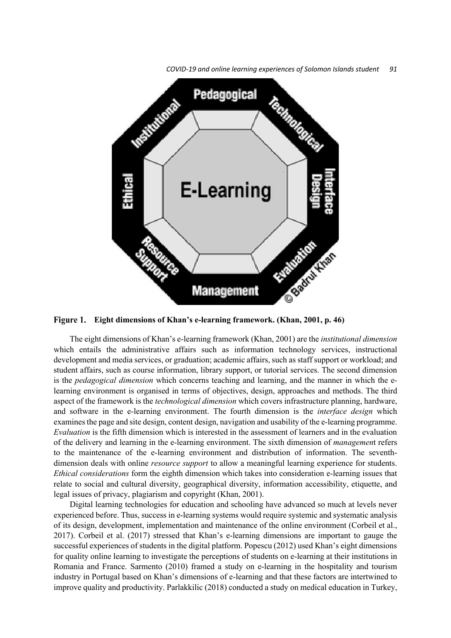*COVID-19 and online learning experiences of Solomon Islands student 91*



**Eight dimensions of Khan's e-learning framework. (Khan, 2001, p. 46)**

The eight dimensions of Khan's e-learning framework (Khan, 2001) are the *institutional dimension* which entails the administrative affairs such as information technology services, instructional development and media services, or graduation; academic affairs, such as staff support or workload; and student affairs, such as course information, library support, or tutorial services. The second dimension is the *pedagogical dimension* which concerns teaching and learning, and the manner in which the elearning environment is organised in terms of objectives, design, approaches and methods. The third aspect of the framework is the *technological dimension* which covers infrastructure planning, hardware, and software in the e-learning environment. The fourth dimension is the *interface design* which examines the page and site design, content design, navigation and usability of the e-learning programme. *Evaluation* is the fifth dimension which is interested in the assessment of learners and in the evaluation of the delivery and learning in the e-learning environment. The sixth dimension of *managemen*t refers to the maintenance of the e-learning environment and distribution of information. The seventhdimension deals with online *resource support* to allow a meaningful learning experience for students. *Ethical considerations* form the eighth dimension which takes into consideration e-learning issues that relate to social and cultural diversity, geographical diversity, information accessibility, etiquette, and legal issues of privacy, plagiarism and copyright (Khan, 2001).

Digital learning technologies for education and schooling have advanced so much at levels never experienced before. Thus, success in e-learning systems would require systemic and systematic analysis of its design, development, implementation and maintenance of the online environment (Corbeil et al., 2017). Corbeil et al. (2017) stressed that Khan's e-learning dimensions are important to gauge the successful experiences of students in the digital platform. Popescu (2012) used Khan's eight dimensions for quality online learning to investigate the perceptions of students on e-learning at their institutions in Romania and France. Sarmento (2010) framed a study on e-learning in the hospitality and tourism industry in Portugal based on Khan's dimensions of e-learning and that these factors are intertwined to improve quality and productivity. Parlakkilic (2018) conducted a study on medical education in Turkey,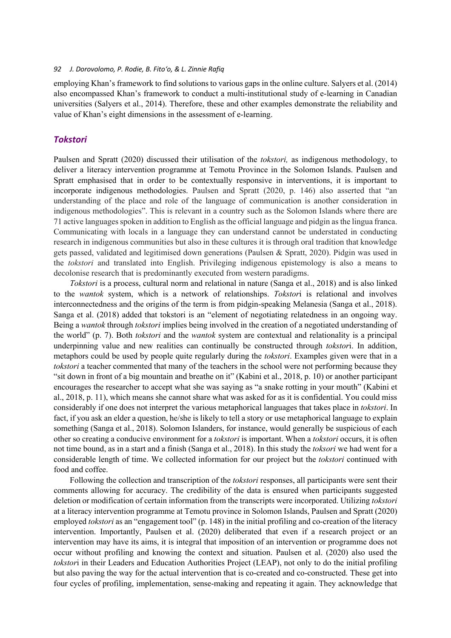employing Khan's framework to find solutions to various gaps in the online culture. Salyers et al. (2014) also encompassed Khan's framework to conduct a multi-institutional study of e-learning in Canadian universities (Salyers et al., 2014). Therefore, these and other examples demonstrate the reliability and value of Khan's eight dimensions in the assessment of e-learning.

# *Tokstori*

Paulsen and Spratt (2020) discussed their utilisation of the *tokstori,* as indigenous methodology, to deliver a literacy intervention programme at Temotu Province in the Solomon Islands. Paulsen and Spratt emphasised that in order to be contextually responsive in interventions, it is important to incorporate indigenous methodologies. Paulsen and Spratt (2020, p. 146) also asserted that "an understanding of the place and role of the language of communication is another consideration in indigenous methodologies". This is relevant in a country such as the Solomon Islands where there are 71 active languages spoken in addition to English as the official language and pidgin as the lingua franca. Communicating with locals in a language they can understand cannot be understated in conducting research in indigenous communities but also in these cultures it is through oral tradition that knowledge gets passed, validated and legitimised down generations (Paulsen & Spratt, 2020). Pidgin was used in the *tokstori* and translated into English. Privileging indigenous epistemology is also a means to decolonise research that is predominantly executed from western paradigms.

*Tokstori* is a process, cultural norm and relational in nature (Sanga et al., 2018) and is also linked to the *wantok* system, which is a network of relationships. *Tokstor*i is relational and involves interconnectedness and the origins of the term is from pidgin-speaking Melanesia (Sanga et al., 2018). Sanga et al. (2018) added that tokstori is an "element of negotiating relatedness in an ongoing way. Being a *wantok* through *tokstori* implies being involved in the creation of a negotiated understanding of the world" (p. 7). Both *tokstori* and the *wantok* system are contextual and relationality is a principal underpinning value and new realities can continually be constructed through *tokstor*i. In addition, metaphors could be used by people quite regularly during the *tokstori*. Examples given were that in a *tokstori* a teacher commented that many of the teachers in the school were not performing because they "sit down in front of a big mountain and breathe on it" (Kabini et al., 2018, p. 10) or another participant encourages the researcher to accept what she was saying as "a snake rotting in your mouth" (Kabini et al., 2018, p. 11), which means she cannot share what was asked for as it is confidential. You could miss considerably if one does not interpret the various metaphorical languages that takes place in *tokstori*. In fact, if you ask an elder a question, he/she is likely to tell a story or use metaphorical language to explain something (Sanga et al., 2018). Solomon Islanders, for instance, would generally be suspicious of each other so creating a conducive environment for a *tokstori* is important. When a *tokstori* occurs, it is often not time bound, as in a start and a finish (Sanga et al., 2018). In this study the *toksori* we had went for a considerable length of time. We collected information for our project but the *tokstori* continued with food and coffee.

Following the collection and transcription of the *tokstori* responses, all participants were sent their comments allowing for accuracy. The credibility of the data is ensured when participants suggested deletion or modification of certain information from the transcripts were incorporated. Utilizing *tokstori* at a literacy intervention programme at Temotu province in Solomon Islands, Paulsen and Spratt (2020) employed *tokstori* as an "engagement tool" (p. 148) in the initial profiling and co-creation of the literacy intervention. Importantly, Paulsen et al. (2020) deliberated that even if a research project or an intervention may have its aims, it is integral that imposition of an intervention or programme does not occur without profiling and knowing the context and situation. Paulsen et al. (2020) also used the *tokstor*i in their Leaders and Education Authorities Project (LEAP), not only to do the initial profiling but also paving the way for the actual intervention that is co-created and co-constructed. These get into four cycles of profiling, implementation, sense-making and repeating it again. They acknowledge that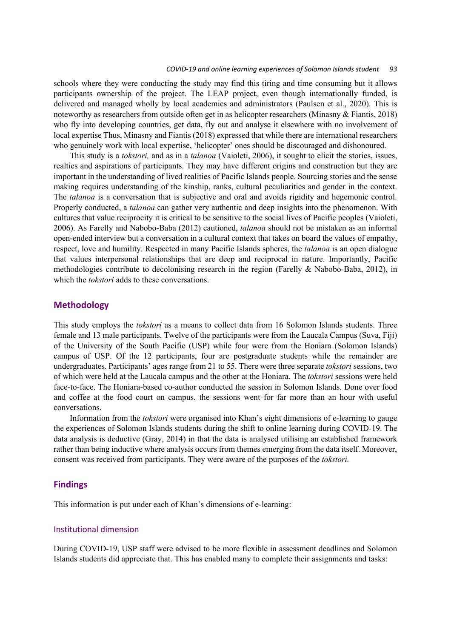#### *COVID-19 and online learning experiences of Solomon Islands student 93*

schools where they were conducting the study may find this tiring and time consuming but it allows participants ownership of the project. The LEAP project, even though internationally funded, is delivered and managed wholly by local academics and administrators (Paulsen et al., 2020). This is noteworthy as researchers from outside often get in as helicopter researchers (Minasny & Fiantis, 2018) who fly into developing countries, get data, fly out and analyse it elsewhere with no involvement of local expertise Thus, Minasny and Fiantis (2018) expressed that while there are international researchers who genuinely work with local expertise, 'helicopter' ones should be discouraged and dishonoured.

This study is a *tokstori,* and as in a *talanoa* (Vaioleti, 2006), it sought to elicit the stories, issues, realties and aspirations of participants. They may have different origins and construction but they are important in the understanding of lived realities of Pacific Islands people. Sourcing stories and the sense making requires understanding of the kinship, ranks, cultural peculiarities and gender in the context. The *talanoa* is a conversation that is subjective and oral and avoids rigidity and hegemonic control. Properly conducted, a *talanoa* can gather very authentic and deep insights into the phenomenon. With cultures that value reciprocity it is critical to be sensitive to the social lives of Pacific peoples (Vaioleti, 2006). As Farelly and Nabobo-Baba (2012) cautioned, *talanoa* should not be mistaken as an informal open-ended interview but a conversation in a cultural context that takes on board the values of empathy, respect, love and humility. Respected in many Pacific Islands spheres, the *talanoa* is an open dialogue that values interpersonal relationships that are deep and reciprocal in nature. Importantly, Pacific methodologies contribute to decolonising research in the region (Farelly & Nabobo-Baba, 2012), in which the *tokstori* adds to these conversations.

### **Methodology**

This study employs the *tokstori* as a means to collect data from 16 Solomon Islands students. Three female and 13 male participants. Twelve of the participants were from the Laucala Campus (Suva, Fiji) of the University of the South Pacific (USP) while four were from the Honiara (Solomon Islands) campus of USP. Of the 12 participants, four are postgraduate students while the remainder are undergraduates. Participants' ages range from 21 to 55. There were three separate *tokstori* sessions, two of which were held at the Laucala campus and the other at the Honiara. The *tokstori* sessions were held face-to-face. The Honiara-based co-author conducted the session in Solomon Islands. Done over food and coffee at the food court on campus, the sessions went for far more than an hour with useful conversations.

Information from the *tokstori* were organised into Khan's eight dimensions of e-learning to gauge the experiences of Solomon Islands students during the shift to online learning during COVID-19. The data analysis is deductive (Gray, 2014) in that the data is analysed utilising an established framework rather than being inductive where analysis occurs from themes emerging from the data itself. Moreover, consent was received from participants. They were aware of the purposes of the *tokstori.* 

# **Findings**

This information is put under each of Khan's dimensions of e-learning:

#### Institutional dimension

During COVID-19, USP staff were advised to be more flexible in assessment deadlines and Solomon Islands students did appreciate that. This has enabled many to complete their assignments and tasks: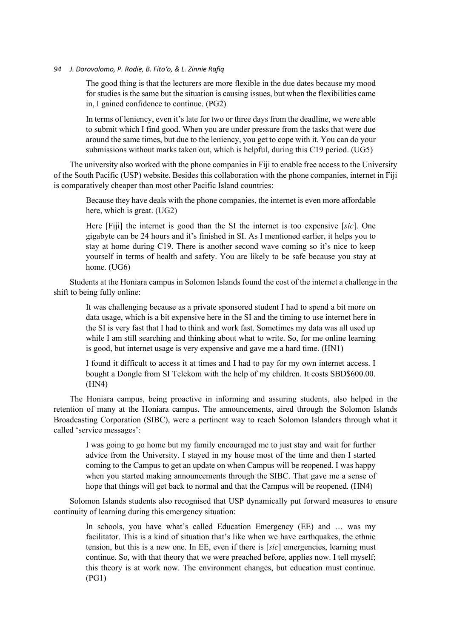The good thing is that the lecturers are more flexible in the due dates because my mood for studies is the same but the situation is causing issues, but when the flexibilities came in, I gained confidence to continue. (PG2)

In terms of leniency, even it's late for two or three days from the deadline, we were able to submit which I find good. When you are under pressure from the tasks that were due around the same times, but due to the leniency, you get to cope with it. You can do your submissions without marks taken out, which is helpful, during this C19 period. (UG5)

The university also worked with the phone companies in Fiji to enable free access to the University of the South Pacific (USP) website. Besides this collaboration with the phone companies, internet in Fiji is comparatively cheaper than most other Pacific Island countries:

Because they have deals with the phone companies, the internet is even more affordable here, which is great. (UG2)

Here [Fiji] the internet is good than the SI the internet is too expensive [*sic*]. One gigabyte can be 24 hours and it's finished in SI. As I mentioned earlier, it helps you to stay at home during C19. There is another second wave coming so it's nice to keep yourself in terms of health and safety. You are likely to be safe because you stay at home. (UG6)

Students at the Honiara campus in Solomon Islands found the cost of the internet a challenge in the shift to being fully online:

It was challenging because as a private sponsored student I had to spend a bit more on data usage, which is a bit expensive here in the SI and the timing to use internet here in the SI is very fast that I had to think and work fast. Sometimes my data was all used up while I am still searching and thinking about what to write. So, for me online learning is good, but internet usage is very expensive and gave me a hard time. (HN1)

I found it difficult to access it at times and I had to pay for my own internet access. I bought a Dongle from SI Telekom with the help of my children. It costs SBD\$600.00. (HN4)

The Honiara campus, being proactive in informing and assuring students, also helped in the retention of many at the Honiara campus. The announcements, aired through the Solomon Islands Broadcasting Corporation (SIBC), were a pertinent way to reach Solomon Islanders through what it called 'service messages':

I was going to go home but my family encouraged me to just stay and wait for further advice from the University. I stayed in my house most of the time and then I started coming to the Campus to get an update on when Campus will be reopened. I was happy when you started making announcements through the SIBC. That gave me a sense of hope that things will get back to normal and that the Campus will be reopened. (HN4)

Solomon Islands students also recognised that USP dynamically put forward measures to ensure continuity of learning during this emergency situation:

In schools, you have what's called Education Emergency (EE) and ... was my facilitator. This is a kind of situation that's like when we have earthquakes, the ethnic tension, but this is a new one. In EE, even if there is [*sic*] emergencies, learning must continue. So, with that theory that we were preached before, applies now. I tell myself; this theory is at work now. The environment changes, but education must continue. (PG1)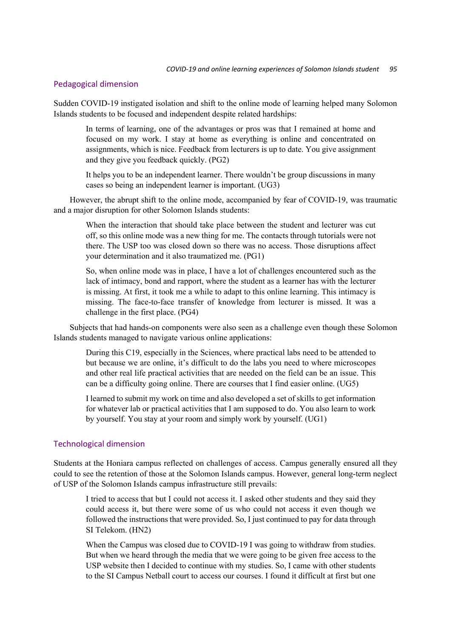# Pedagogical dimension

Sudden COVID-19 instigated isolation and shift to the online mode of learning helped many Solomon Islands students to be focused and independent despite related hardships:

In terms of learning, one of the advantages or pros was that I remained at home and focused on my work. I stay at home as everything is online and concentrated on assignments, which is nice. Feedback from lecturers is up to date. You give assignment and they give you feedback quickly. (PG2)

It helps you to be an independent learner. There wouldn't be group discussions in many cases so being an independent learner is important. (UG3)

However, the abrupt shift to the online mode, accompanied by fear of COVID-19, was traumatic and a major disruption for other Solomon Islands students:

When the interaction that should take place between the student and lecturer was cut off, so this online mode was a new thing for me. The contacts through tutorials were not there. The USP too was closed down so there was no access. Those disruptions affect your determination and it also traumatized me. (PG1)

So, when online mode was in place, I have a lot of challenges encountered such as the lack of intimacy, bond and rapport, where the student as a learner has with the lecturer is missing. At first, it took me a while to adapt to this online learning. This intimacy is missing. The face-to-face transfer of knowledge from lecturer is missed. It was a challenge in the first place. (PG4)

Subjects that had hands-on components were also seen as a challenge even though these Solomon Islands students managed to navigate various online applications:

During this C19, especially in the Sciences, where practical labs need to be attended to but because we are online, it's difficult to do the labs you need to where microscopes and other real life practical activities that are needed on the field can be an issue. This can be a difficulty going online. There are courses that I find easier online. (UG5)

I learned to submit my work on time and also developed a set of skills to get information for whatever lab or practical activities that I am supposed to do. You also learn to work by yourself. You stay at your room and simply work by yourself. (UG1)

# Technological dimension

Students at the Honiara campus reflected on challenges of access. Campus generally ensured all they could to see the retention of those at the Solomon Islands campus. However, general long-term neglect of USP of the Solomon Islands campus infrastructure still prevails:

I tried to access that but I could not access it. I asked other students and they said they could access it, but there were some of us who could not access it even though we followed the instructions that were provided. So, I just continued to pay for data through SI Telekom. (HN2)

When the Campus was closed due to COVID-19 I was going to withdraw from studies. But when we heard through the media that we were going to be given free access to the USP website then I decided to continue with my studies. So, I came with other students to the SI Campus Netball court to access our courses. I found it difficult at first but one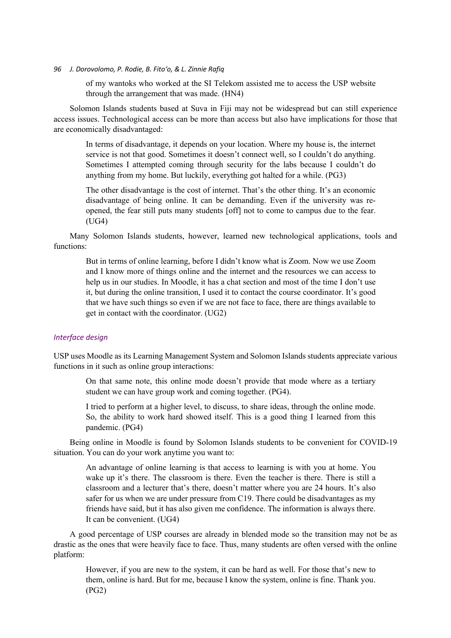of my wantoks who worked at the SI Telekom assisted me to access the USP website through the arrangement that was made. (HN4)

Solomon Islands students based at Suva in Fiji may not be widespread but can still experience access issues. Technological access can be more than access but also have implications for those that are economically disadvantaged:

In terms of disadvantage, it depends on your location. Where my house is, the internet service is not that good. Sometimes it doesn't connect well, so I couldn't do anything. Sometimes I attempted coming through security for the labs because I couldn't do anything from my home. But luckily, everything got halted for a while. (PG3)

The other disadvantage is the cost of internet. That's the other thing. It's an economic disadvantage of being online. It can be demanding. Even if the university was reopened, the fear still puts many students [off] not to come to campus due to the fear. (UG4)

Many Solomon Islands students, however, learned new technological applications, tools and functions:

But in terms of online learning, before I didn't know what is Zoom. Now we use Zoom and I know more of things online and the internet and the resources we can access to help us in our studies. In Moodle, it has a chat section and most of the time I don't use it, but during the online transition, I used it to contact the course coordinator. It's good that we have such things so even if we are not face to face, there are things available to get in contact with the coordinator. (UG2)

# *Interface design*

USP uses Moodle as its Learning Management System and Solomon Islands students appreciate various functions in it such as online group interactions:

On that same note, this online mode doesn't provide that mode where as a tertiary student we can have group work and coming together. (PG4).

I tried to perform at a higher level, to discuss, to share ideas, through the online mode. So, the ability to work hard showed itself. This is a good thing I learned from this pandemic. (PG4)

Being online in Moodle is found by Solomon Islands students to be convenient for COVID-19 situation. You can do your work anytime you want to:

An advantage of online learning is that access to learning is with you at home. You wake up it's there. The classroom is there. Even the teacher is there. There is still a classroom and a lecturer that's there, doesn't matter where you are 24 hours. It's also safer for us when we are under pressure from C19. There could be disadvantages as my friends have said, but it has also given me confidence. The information is always there. It can be convenient. (UG4)

A good percentage of USP courses are already in blended mode so the transition may not be as drastic as the ones that were heavily face to face. Thus, many students are often versed with the online platform:

However, if you are new to the system, it can be hard as well. For those that's new to them, online is hard. But for me, because I know the system, online is fine. Thank you. (PG2)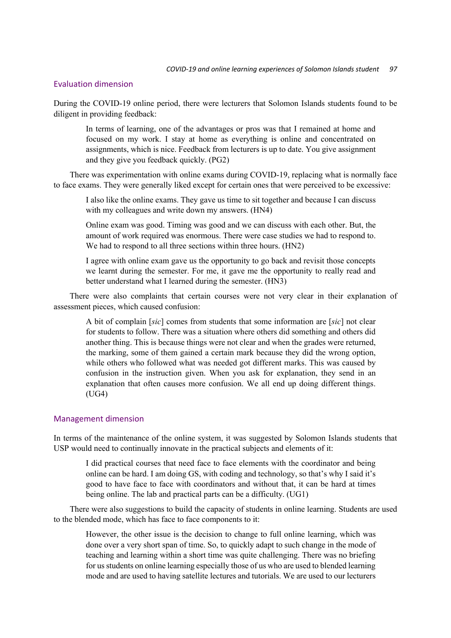# Evaluation dimension

During the COVID-19 online period, there were lecturers that Solomon Islands students found to be diligent in providing feedback:

In terms of learning, one of the advantages or pros was that I remained at home and focused on my work. I stay at home as everything is online and concentrated on assignments, which is nice. Feedback from lecturers is up to date. You give assignment and they give you feedback quickly. (PG2)

There was experimentation with online exams during COVID-19, replacing what is normally face to face exams. They were generally liked except for certain ones that were perceived to be excessive:

I also like the online exams. They gave us time to sit together and because I can discuss with my colleagues and write down my answers. (HN4)

Online exam was good. Timing was good and we can discuss with each other. But, the amount of work required was enormous. There were case studies we had to respond to. We had to respond to all three sections within three hours. (HN2)

I agree with online exam gave us the opportunity to go back and revisit those concepts we learnt during the semester. For me, it gave me the opportunity to really read and better understand what I learned during the semester. (HN3)

There were also complaints that certain courses were not very clear in their explanation of assessment pieces, which caused confusion:

A bit of complain [*sic*] comes from students that some information are [*sic*] not clear for students to follow. There was a situation where others did something and others did another thing. This is because things were not clear and when the grades were returned, the marking, some of them gained a certain mark because they did the wrong option, while others who followed what was needed got different marks. This was caused by confusion in the instruction given. When you ask for explanation, they send in an explanation that often causes more confusion. We all end up doing different things. (UG4)

### Management dimension

In terms of the maintenance of the online system, it was suggested by Solomon Islands students that USP would need to continually innovate in the practical subjects and elements of it:

I did practical courses that need face to face elements with the coordinator and being online can be hard. I am doing GS, with coding and technology, so that's why I said it's good to have face to face with coordinators and without that, it can be hard at times being online. The lab and practical parts can be a difficulty. (UG1)

There were also suggestions to build the capacity of students in online learning. Students are used to the blended mode, which has face to face components to it:

However, the other issue is the decision to change to full online learning, which was done over a very short span of time. So, to quickly adapt to such change in the mode of teaching and learning within a short time was quite challenging. There was no briefing for us students on online learning especially those of us who are used to blended learning mode and are used to having satellite lectures and tutorials. We are used to our lecturers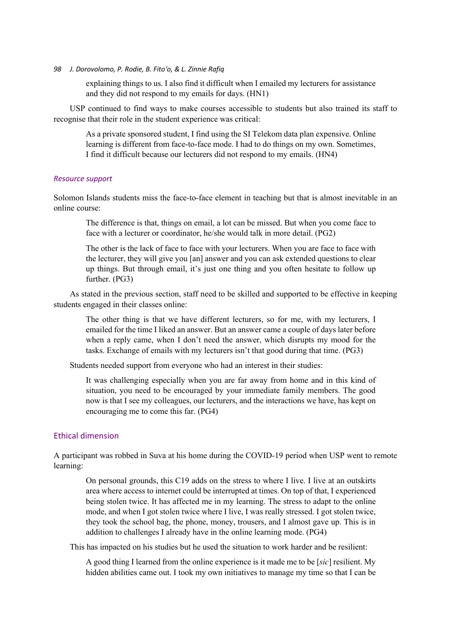explaining things to us. I also find it difficult when I emailed my lecturers for assistance and they did not respond to my emails for days. (HN1)

USP continued to find ways to make courses accessible to students but also trained its staff to recognise that their role in the student experience was critical:

As a private sponsored student, I find using the SI Telekom data plan expensive. Online learning is different from face-to-face mode. I had to do things on my own. Sometimes, I find it difficult because our lecturers did not respond to my emails. (HN4)

### *Resource support*

Solomon Islands students miss the face-to-face element in teaching but that is almost inevitable in an online course:

The difference is that, things on email, a lot can be missed. But when you come face to face with a lecturer or coordinator, he/she would talk in more detail. (PG2)

The other is the lack of face to face with your lecturers. When you are face to face with the lecturer, they will give you [an] answer and you can ask extended questions to clear up things. But through email, it's just one thing and you often hesitate to follow up further. (PG3)

As stated in the previous section, staff need to be skilled and supported to be effective in keeping students engaged in their classes online:

The other thing is that we have different lecturers, so for me, with my lecturers, I emailed for the time I liked an answer. But an answer came a couple of days later before when a reply came, when I don't need the answer, which disrupts my mood for the tasks. Exchange of emails with my lecturers isn't that good during that time. (PG3)

Students needed support from everyone who had an interest in their studies:

It was challenging especially when you are far away from home and in this kind of situation, you need to be encouraged by your immediate family members. The good now is that I see my colleagues, our lecturers, and the interactions we have, has kept on encouraging me to come this far. (PG4)

# Ethical dimension

A participant was robbed in Suva at his home during the COVID-19 period when USP went to remote learning:

On personal grounds, this C19 adds on the stress to where I live. I live at an outskirts area where access to internet could be interrupted at times. On top of that, I experienced being stolen twice. It has affected me in my learning. The stress to adapt to the online mode, and when I got stolen twice where I live, I was really stressed. I got stolen twice, they took the school bag, the phone, money, trousers, and I almost gave up. This is in addition to challenges I already have in the online learning mode. (PG4)

This has impacted on his studies but he used the situation to work harder and be resilient:

A good thing I learned from the online experience is it made me to be [*sic*] resilient. My hidden abilities came out. I took my own initiatives to manage my time so that I can be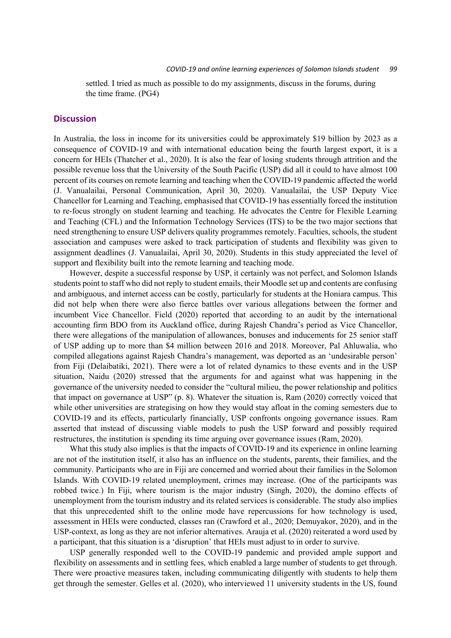settled. I tried as much as possible to do my assignments, discuss in the forums, during the time frame. (PG4)

#### **Discussion**

In Australia, the loss in income for its universities could be approximately \$19 billion by 2023 as a consequence of COVID-19 and with international education being the fourth largest export, it is a concern for HEIs (Thatcher et al., 2020). It is also the fear of losing students through attrition and the possible revenue loss that the University of the South Pacific (USP) did all it could to have almost 100 percent of its courses on remote learning and teaching when the COVID-19 pandemic affected the world (J. Vanualailai, Personal Communication, April 30, 2020). Vanualailai, the USP Deputy Vice Chancellor for Learning and Teaching, emphasised that COVID-19 has essentially forced the institution to re-focus strongly on student learning and teaching. He advocates the Centre for Flexible Learning and Teaching (CFL) and the Information Technology Services (ITS) to be the two major sections that need strengthening to ensure USP delivers quality programmes remotely. Faculties, schools, the student association and campuses were asked to track participation of students and flexibility was given to assignment deadlines (J. Vanualailai, April 30, 2020). Students in this study appreciated the level of support and flexibility built into the remote learning and teaching mode.

However, despite a successful response by USP, it certainly was not perfect, and Solomon Islands students point to staff who did not reply to student emails, their Moodle set up and contents are confusing and ambiguous, and internet access can be costly, particularly for students at the Honiara campus. This did not help when there were also fierce battles over various allegations between the former and incumbent Vice Chancellor. Field (2020) reported that according to an audit by the international accounting firm BDO from its Auckland office, during Rajesh Chandra's period as Vice Chancellor, there were allegations of the manipulation of allowances, bonuses and inducements for 25 senior staff of USP adding up to more than \$4 million between 2016 and 2018. Moreover, Pal Ahluwalia, who compiled allegations against Rajesh Chandra's management, was deported as an 'undesirable person' from Fiji (Delaibatiki, 2021). There were a lot of related dynamics to these events and in the USP situation, Naidu (2020) stressed that the arguments for and against what was happening in the governance of the university needed to consider the "cultural milieu, the power relationship and politics that impact on governance at USP" (p. 8). Whatever the situation is, Ram (2020) correctly voiced that while other universities are strategising on how they would stay afloat in the coming semesters due to COVID-19 and its effects, particularly financially, USP confronts ongoing governance issues. Ram asserted that instead of discussing viable models to push the USP forward and possibly required restructures, the institution is spending its time arguing over governance issues (Ram, 2020).

What this study also implies is that the impacts of COVID-19 and its experience in online learning are not of the institution itself, it also has an influence on the students, parents, their families, and the community. Participants who are in Fiji are concerned and worried about their families in the Solomon Islands. With COVID-19 related unemployment, crimes may increase. (One of the participants was robbed twice.) In Fiji, where tourism is the major industry (Singh, 2020), the domino effects of unemployment from the tourism industry and its related services is considerable. The study also implies that this unprecedented shift to the online mode have repercussions for how technology is used, assessment in HEIs were conducted, classes ran (Crawford et al., 2020; Demuyakor, 2020), and in the USP-context, as long as they are not inferior alternatives. Arauja et al. (2020) reiterated a word used by a participant, that this situation is a 'disruption' that HEIs must adjust to in order to survive.

USP generally responded well to the COVID-19 pandemic and provided ample support and flexibility on assessments and in settling fees, which enabled a large number of students to get through. There were proactive measures taken, including communicating diligently with students to help them get through the semester. Gelles et al. (2020), who interviewed 11 university students in the US, found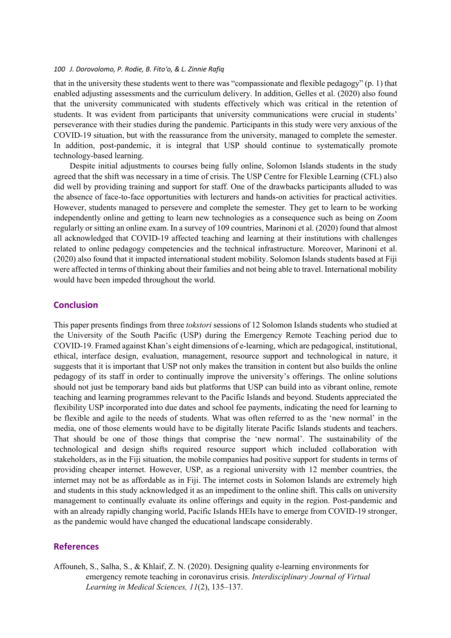that in the university these students went to there was "compassionate and flexible pedagogy" (p. 1) that enabled adjusting assessments and the curriculum delivery. In addition, Gelles et al. (2020) also found that the university communicated with students effectively which was critical in the retention of students. It was evident from participants that university communications were crucial in students' perseverance with their studies during the pandemic. Participants in this study were very anxious of the COVID-19 situation, but with the reassurance from the university, managed to complete the semester. In addition, post-pandemic, it is integral that USP should continue to systematically promote technology-based learning.

Despite initial adjustments to courses being fully online, Solomon Islands students in the study agreed that the shift was necessary in a time of crisis. The USP Centre for Flexible Learning (CFL) also did well by providing training and support for staff. One of the drawbacks participants alluded to was the absence of face-to-face opportunities with lecturers and hands-on activities for practical activities. However, students managed to persevere and complete the semester. They get to learn to be working independently online and getting to learn new technologies as a consequence such as being on Zoom regularly or sitting an online exam. In a survey of 109 countries, Marinoni et al. (2020) found that almost all acknowledged that COVID-19 affected teaching and learning at their institutions with challenges related to online pedagogy competencies and the technical infrastructure. Moreover, Marinoni et al. (2020) also found that it impacted international student mobility. Solomon Islands students based at Fiji were affected in terms of thinking about their families and not being able to travel. International mobility would have been impeded throughout the world.

# **Conclusion**

This paper presents findings from three *tokstori* sessions of 12 Solomon Islands students who studied at the University of the South Pacific (USP) during the Emergency Remote Teaching period due to COVID-19. Framed against Khan's eight dimensions of e-learning, which are pedagogical, institutional, ethical, interface design, evaluation, management, resource support and technological in nature, it suggests that it is important that USP not only makes the transition in content but also builds the online pedagogy of its staff in order to continually improve the university's offerings. The online solutions should not just be temporary band aids but platforms that USP can build into as vibrant online, remote teaching and learning programmes relevant to the Pacific Islands and beyond. Students appreciated the flexibility USP incorporated into due dates and school fee payments, indicating the need for learning to be flexible and agile to the needs of students. What was often referred to as the 'new normal' in the media, one of those elements would have to be digitally literate Pacific Islands students and teachers. That should be one of those things that comprise the 'new normal'. The sustainability of the technological and design shifts required resource support which included collaboration with stakeholders, as in the Fiji situation, the mobile companies had positive support for students in terms of providing cheaper internet. However, USP, as a regional university with 12 member countries, the internet may not be as affordable as in Fiji. The internet costs in Solomon Islands are extremely high and students in this study acknowledged it as an impediment to the online shift. This calls on university management to continually evaluate its online offerings and equity in the region. Post-pandemic and with an already rapidly changing world, Pacific Islands HEIs have to emerge from COVID-19 stronger, as the pandemic would have changed the educational landscape considerably.

# **References**

Affouneh, S., Salha, S., & Khlaif, Z. N. (2020). Designing quality e-learning environments for emergency remote teaching in coronavirus crisis. *Interdisciplinary Journal of Virtual Learning in Medical Sciences, 11*(2), 135–137.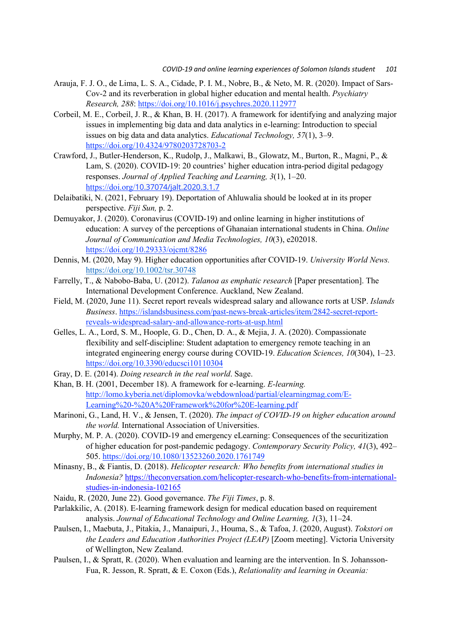- Arauja, F. J. O., de Lima, L. S. A., Cidade, P. I. M., Nobre, B., & Neto, M. R. (2020). Impact of Sars-Cov-2 and its reverberation in global higher education and mental health. *Psychiatry Research, 288*: https://doi.org/10.1016/j.psychres.2020.112977
- Corbeil, M. E., Corbeil, J. R., & Khan, B. H. (2017). A framework for identifying and analyzing major issues in implementing big data and data analytics in e-learning: Introduction to special issues on big data and data analytics. *Educational Technology, 57*(1), 3–9. https://doi.org/10.4324/9780203728703-2
- Crawford, J., Butler-Henderson, K., Rudolp, J., Malkawi, B., Glowatz, M., Burton, R., Magni, P., & Lam, S. (2020). COVID-19: 20 countries' higher education intra-period digital pedagogy responses. *Journal of Applied Teaching and Learning, 3*(1), 1–20. https://doi.org/10.37074/jalt.2020.3.1.7
- Delaibatiki, N. (2021, February 19). Deportation of Ahluwalia should be looked at in its proper perspective. *Fiji Sun,* p. 2.
- Demuyakor, J. (2020). Coronavirus (COVID-19) and online learning in higher institutions of education: A survey of the perceptions of Ghanaian international students in China. *Online Journal of Communication and Media Technologies, 10*(3), e202018. https://doi.org/10.29333/ojcmt/8286
- Dennis, M. (2020, May 9). Higher education opportunities after COVID-19. *University World News.*  https://doi.org/10.1002/tsr.30748
- Farrelly, T., & Nabobo-Baba, U. (2012). *Talanoa as emphatic research* [Paper presentation]. The International Development Conference. Auckland, New Zealand.
- Field, M. (2020, June 11). Secret report reveals widespread salary and allowance rorts at USP. *Islands Business*. https://islandsbusiness.com/past-news-break-articles/item/2842-secret-reportreveals-widespread-salary-and-allowance-rorts-at-usp.html
- Gelles, L. A., Lord, S. M., Hoople, G. D., Chen, D. A., & Mejia, J. A. (2020). Compassionate flexibility and self-discipline: Student adaptation to emergency remote teaching in an integrated engineering energy course during COVID-19. *Education Sciences, 10*(304), 1–23. https://doi.org/10.3390/educsci10110304
- Gray, D. E. (2014). *Doing research in the real world*. Sage.
- Khan, B. H. (2001, December 18). A framework for e-learning. *E-learning.*  http://lomo.kyberia.net/diplomovka/webdownload/partial/elearningmag.com/E-Learning%20-%20A%20Framework%20for%20E-learning.pdf
- Marinoni, G., Land, H. V., & Jensen, T. (2020). *The impact of COVID-19 on higher education around the world.* International Association of Universities.
- Murphy, M. P. A. (2020). COVID-19 and emergency eLearning: Consequences of the securitization of higher education for post-pandemic pedagogy. *Contemporary Security Policy, 41*(3), 492– 505. https://doi.org/10.1080/13523260.2020.1761749
- Minasny, B., & Fiantis, D. (2018). *Helicopter research: Who benefits from international studies in Indonesia?* https://theconversation.com/helicopter-research-who-benefits-from-internationalstudies-in-indonesia-102165
- Naidu, R. (2020, June 22). Good governance. *The Fiji Times*, p. 8.
- Parlakkilic, A. (2018). E-learning framework design for medical education based on requirement analysis. *Journal of Educational Technology and Online Learning, 1*(3), 11–24.
- Paulsen, I., Maebuta, J., Pitakia, J., Manaipuri, J., Houma, S., & Tafoa, J. (2020, August). *Tokstori on the Leaders and Education Authorities Project (LEAP)* [Zoom meeting]. Victoria University of Wellington, New Zealand.
- Paulsen, I., & Spratt, R. (2020). When evaluation and learning are the intervention. In S. Johansson-Fua, R. Jesson, R. Spratt, & E. Coxon (Eds.), *Relationality and learning in Oceania:*